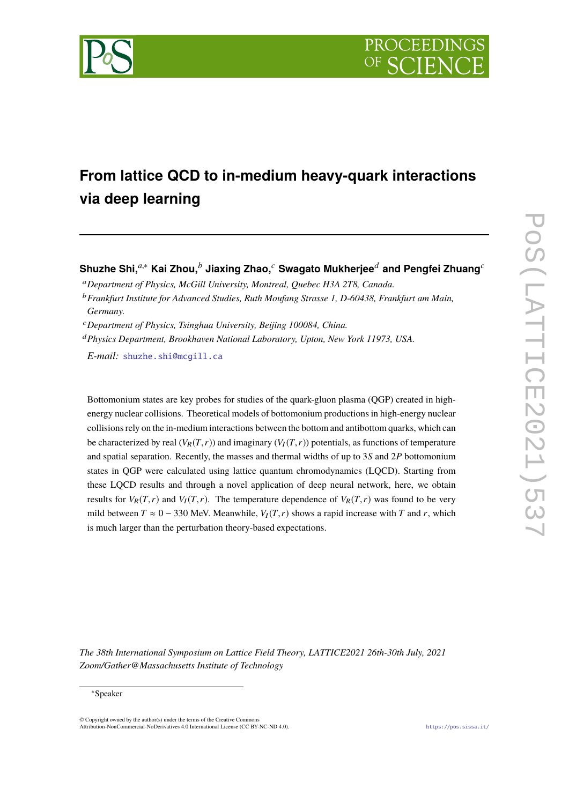

# **From lattice QCD to in-medium heavy-quark interactions via deep learning**

**Shuzhe Shi,***a*,<sup>∗</sup> **Kai Zhou,***<sup>b</sup>* **Jiaxing Zhao,***<sup>c</sup>* **Swagato Mukherjee***<sup>d</sup>* **and Pengfei Zhuang***<sup>c</sup>*

<sup>a</sup>*Department of Physics, McGill University, Montreal, Quebec H3A 2T8, Canada.*

<sup>c</sup>*Department of Physics, Tsinghua University, Beijing 100084, China.*

<sup>d</sup>*Physics Department, Brookhaven National Laboratory, Upton, New York 11973, USA.*

*E-mail:* [shuzhe.shi@mcgill.ca](mailto:shuzhe.shi@mcgill.ca)

Bottomonium states are key probes for studies of the quark-gluon plasma (QGP) created in highenergy nuclear collisions. Theoretical models of bottomonium productions in high-energy nuclear collisions rely on the in-medium interactions between the bottom and antibottom quarks, which can be characterized by real  $(V_R(T,r))$  and imaginary  $(V_I(T,r))$  potentials, as functions of temperature and spatial separation. Recently, the masses and thermal widths of up to 3*S* and 2*P* bottomonium states in QGP were calculated using lattice quantum chromodynamics (LQCD). Starting from these LQCD results and through a novel application of deep neural network, here, we obtain results for  $V_R(T,r)$  and  $V_I(T,r)$ . The temperature dependence of  $V_R(T,r)$  was found to be very mild between  $T \approx 0 - 330$  MeV. Meanwhile,  $V_I(T, r)$  shows a rapid increase with *T* and *r*, which is much larger than the perturbation theory-based expectations.

*The 38th International Symposium on Lattice Field Theory, LATTICE2021 26th-30th July, 2021 Zoom/Gather@Massachusetts Institute of Technology*

#### <sup>∗</sup>Speaker

 $\odot$  Copyright owned by the author(s) under the terms of the Creative Common Attribution-NonCommercial-NoDerivatives 4.0 International License (CC BY-NC-ND 4.0). <https://pos.sissa.it/>

<sup>b</sup>*Frankfurt Institute for Advanced Studies, Ruth Moufang Strasse 1, D-60438, Frankfurt am Main, Germany.*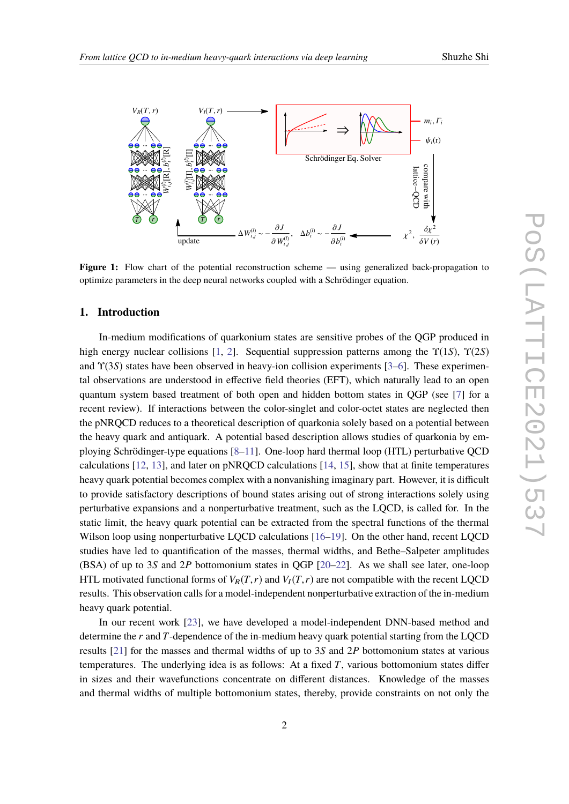<span id="page-1-0"></span>

**Figure 1:** Flow chart of the potential reconstruction scheme — using generalized back-propagation to optimize parameters in the deep neural networks coupled with a Schrödinger equation.

## 1. Introduction

In-medium modifications of quarkonium states are sensitive probes of the QGP produced in high energy nuclear collisions [1, 2]. Sequential suppression patterns among the  $\Upsilon(1S)$ ,  $\Upsilon(2S)$ and  $\Upsilon(3S)$  states have been observed in heavy-ion collision experiments [3–6]. These experimental observations are understood in effective field theories (EFT), which naturally lead to an open quantum system based treatment of both open and hidden bottom states in QGP (see [7] for a recent review). If interactions between the color-singlet and color-octet states are neglected then the pNRQCD reduces to a theoretical description of quarkonia solely based on a potential between the heavy quark and antiquark. A potential based description allows studies of quarkonia by employing Schrödinger-type equations  $[8-11]$ . One-loop hard thermal loop (HTL) perturbative QCD calculations  $[12, 13]$ , and later on pNROCD calculations  $[14, 15]$ , show that at finite temperatures heavy quark potential becomes complex with a nonvanishing imaginary part. However, it is difficult to provide satisfactory descriptions of bound states arising out of strong interactions solely using perturbative expansions and a nonperturbative treatment, such as the LQCD, is called for. In the static limit, the heavy quark potential can be extracted from the spectral functions of the thermal Wilson loop using nonperturbative LQCD calculations [16-19]. On the other hand, recent LQCD studies have led to quantification of the masses, thermal widths, and Bethe-Salpeter amplitudes (BSA) of up to 3S and 2P bottomonium states in QGP [20-22]. As we shall see later, one-loop HTL motivated functional forms of  $V_R(T, r)$  and  $V_I(T, r)$  are not compatible with the recent LQCD results. This observation calls for a model-independent nonperturbative extraction of the in-medium heavy quark potential.

In our recent work [23], we have developed a model-independent DNN-based method and determine the  $r$  and  $T$ -dependence of the in-medium heavy quark potential starting from the LQCD results [21] for the masses and thermal widths of up to 3S and 2P bottomonium states at various temperatures. The underlying idea is as follows: At a fixed  $T$ , various bottomonium states differ in sizes and their wavefunctions concentrate on different distances. Knowledge of the masses and thermal widths of multiple bottomonium states, thereby, provide constraints on not only the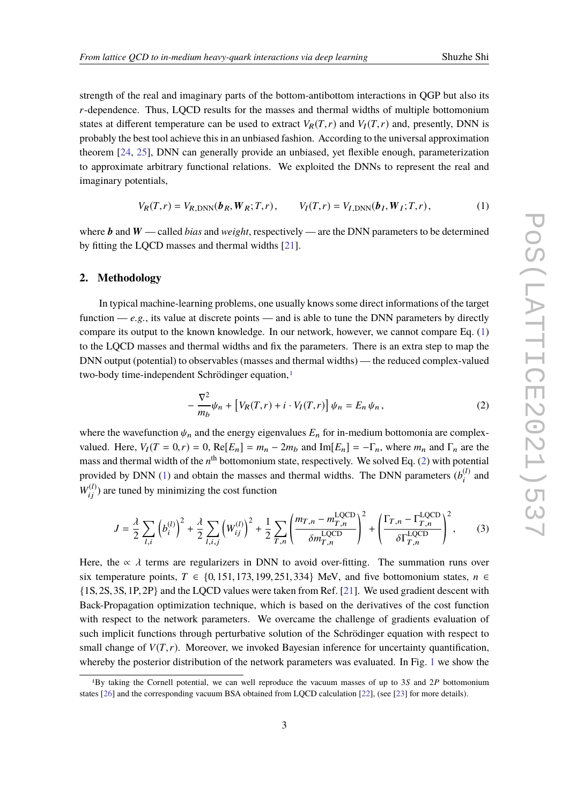strength of the real and imaginary parts of the bottom-antibottom interactions in QGP but also its *r*-dependence. Thus, LQCD results for the masses and thermal widths of multiple bottomonium states at different temperature can be used to extract  $V_R(T,r)$  and  $V_I(T,r)$  and, presently, DNN is probably the best tool achieve this in an unbiased fashion. According to the universal approximation theorem [\[24](#page-8-0), [25](#page-8-1)], DNN can generally provide an unbiased, yet flexible enough, parameterization to approximate arbitrary functional relations. We exploited the DNNs to represent the real and imaginary potentials,

<span id="page-2-0"></span>
$$
V_R(T,r) = V_{R,\text{DNN}}(\boldsymbol{b}_R, \boldsymbol{W}_R; T, r), \qquad V_I(T,r) = V_{I,\text{DNN}}(\boldsymbol{b}_I, \boldsymbol{W}_I; T, r), \tag{1}
$$

where **b** and **W** — called *bias* and *weight*, respectively — are the DNN parameters to be determined by fitting the LQCD masses and thermal widths [[21\]](#page-7-10).

#### **2. Methodology**

In typical machine-learning problems, one usually knows some direct informations of the target function  $-e.g.,$  its value at discrete points — and is able to tune the DNN parameters by directly compare its output to the known knowledge. In our network, however, we cannot compare Eq. ([1](#page-2-0)) to the LQCD masses and thermal widths and fix the parameters. There is an extra step to map the DNN output (potential) to observables (masses and thermal widths) — the reduced complex-valued two-body time-independent Schrödinger equation.<sup>[1](#page-2-1)</sup>

<span id="page-2-2"></span>
$$
-\frac{\nabla^2}{m_b}\psi_n + \left[V_R(T,r) + i \cdot V_I(T,r)\right]\psi_n = E_n \psi_n, \qquad (2)
$$

where the wavefunction  $\psi_n$  and the energy eigenvalues  $E_n$  for in-medium bottomonia are complexvalued. Here,  $V_I(T = 0, r) = 0$ ,  $\text{Re}[E_n] = m_n - 2m_b$  and  $\text{Im}[E_n] = -\Gamma_n$ , where  $m_n$  and  $\Gamma_n$  are the mass and thermal width of the  $n^{\text{th}}$  bottomonium state, respectively. We solved Eq. ([2](#page-2-2)) with potential provided by DNN ([1](#page-2-0)) and obtain the masses and thermal widths. The DNN parameters  $(b_i^{(l)})$  $\int_{i}^{(l)}$  and  $W_{ij}^{(l)}$ ) are tuned by minimizing the cost function

$$
J = \frac{\lambda}{2} \sum_{l,i} \left( b_i^{(l)} \right)^2 + \frac{\lambda}{2} \sum_{l,i,j} \left( W_{ij}^{(l)} \right)^2 + \frac{1}{2} \sum_{T,n} \left( \frac{m_{T,n} - m_{T,n}^{\text{LQCD}}}{\delta m_{T,n}^{\text{LQCD}}} \right)^2 + \left( \frac{\Gamma_{T,n} - \Gamma_{T,n}^{\text{LQCD}}}{\delta \Gamma_{T,n}^{\text{LQCD}}} \right)^2, \tag{3}
$$

Here, the  $\alpha \lambda$  terms are regularizers in DNN to avoid over-fitting. The summation runs over six temperature points,  $T \in \{0, 151, 173, 199, 251, 334\}$  MeV, and five bottomonium states,  $n \in$ {1S, 2S, 3S, 1P, 2P} and the LQCD values were taken from Ref. [[21](#page-7-10)]. We used gradient descent with Back-Propagation optimization technique, which is based on the derivatives of the cost function with respect to the network parameters. We overcame the challenge of gradients evaluation of such implicit functions through perturbative solution of the Schrödinger equation with respect to small change of  $V(T, r)$ . Moreover, we invoked Bayesian inference for uncertainty quantification, whereby the posterior distribution of the network parameters was evaluated. In Fig. [1](#page-1-0) we show the

<span id="page-2-1"></span><sup>1</sup>By taking the Cornell potential, we can well reproduce the vacuum masses of up to 3*S* and 2*P* bottomonium states [\[26](#page-8-2)] and the corresponding vacuum BSA obtained from LQCD calculation [\[22](#page-7-8)], (see [[23\]](#page-7-9) for more details).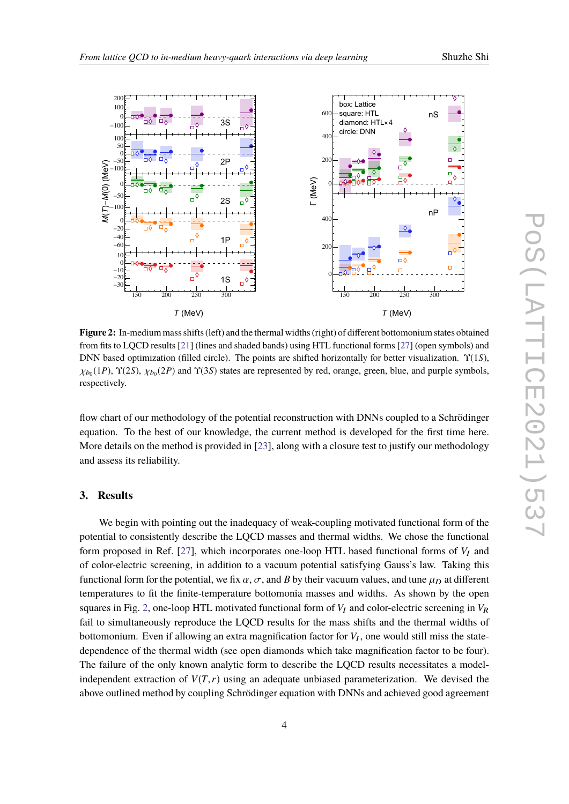<span id="page-3-0"></span>

**Figure 2:** In-medium mass shifts (left) and the thermal widths (right) of different bottomonium states obtained from fits to LQCD results [\[21](#page-7-10)] (lines and shaded bands) using HTL functional forms [\[27\]](#page-8-3) (open symbols) and DNN based optimization (filled circle). The points are shifted horizontally for better visualization. Υ(1*S*),  $\chi_{b_0}(1P)$ ,  $\Upsilon(2S)$ ,  $\chi_{b_0}(2P)$  and  $\Upsilon(3S)$  states are represented by red, orange, green, blue, and purple symbols, respectively.

flow chart of our methodology of the potential reconstruction with DNNs coupled to a Schrödinger equation. To the best of our knowledge, the current method is developed for the first time here. More details on the method is provided in [[23](#page-7-9)], along with a closure test to justify our methodology and assess its reliability.

# **3. Results**

We begin with pointing out the inadequacy of weak-coupling motivated functional form of the potential to consistently describe the LQCD masses and thermal widths. We chose the functional form proposed in Ref. [[27\]](#page-8-3), which incorporates one-loop HTL based functional forms of  $V_I$  and of color-electric screening, in addition to a vacuum potential satisfying Gauss's law. Taking this functional form for the potential, we fix  $\alpha$ ,  $\sigma$ , and *B* by their vacuum values, and tune  $\mu_D$  at different temperatures to fit the finite-temperature bottomonia masses and widths. As shown by the open squares in Fig. [2,](#page-3-0) one-loop HTL motivated functional form of  $V_I$  and color-electric screening in  $V_R$ fail to simultaneously reproduce the LQCD results for the mass shifts and the thermal widths of bottomonium. Even if allowing an extra magnification factor for  $V_I$ , one would still miss the statedependence of the thermal width (see open diamonds which take magnification factor to be four). The failure of the only known analytic form to describe the LQCD results necessitates a modelindependent extraction of  $V(T,r)$  using an adequate unbiased parameterization. We devised the above outlined method by coupling Schrödinger equation with DNNs and achieved good agreement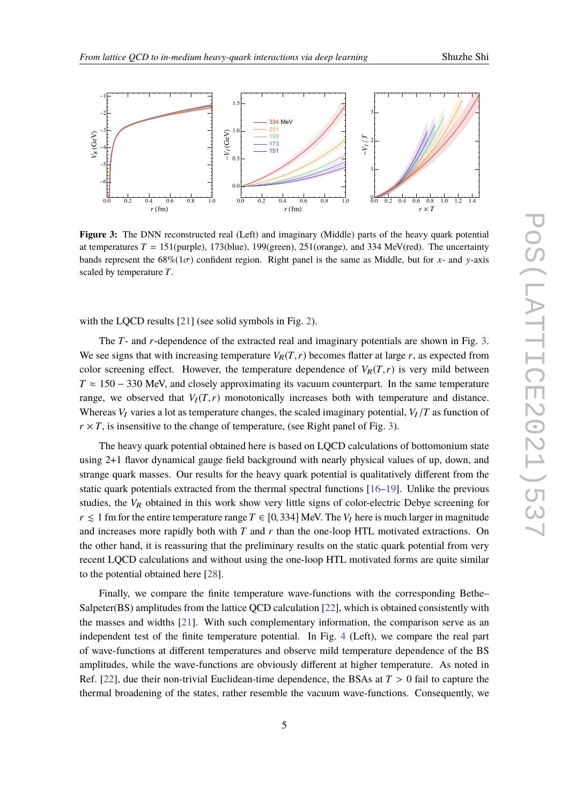<span id="page-4-0"></span>

**Figure 3:** The DNN reconstructed real (Left) and imaginary (Middle) parts of the heavy quark potential at temperatures  $T = 151$ (purple), 173(blue), 199(green), 251(orange), and 334 MeV(red). The uncertainty bands represent the  $68\%(1\sigma)$  confident region. Right panel is the same as Middle, but for *x*- and *y*-axis scaled by temperature *T*.

with the LQCD results [[21\]](#page-7-10) (see solid symbols in Fig. [2\)](#page-3-0).

The *T*- and *r*-dependence of the extracted real and imaginary potentials are shown in Fig. [3](#page-4-0). We see signs that with increasing temperature  $V_R(T, r)$  becomes flatter at large r, as expected from color screening effect. However, the temperature dependence of  $V_R(T,r)$  is very mild between *T* ≈ 150 – 330 MeV, and closely approximating its vacuum counterpart. In the same temperature range, we observed that  $V_I(T,r)$  monotonically increases both with temperature and distance. Whereas  $V_I$  varies a lot as temperature changes, the scaled imaginary potential,  $V_I/T$  as function of  $r \times T$ , is insensitive to the change of temperature, (see Right panel of Fig. [3\)](#page-4-0).

The heavy quark potential obtained here is based on LQCD calculations of bottomonium state using 2+1 flavor dynamical gauge field background with nearly physical values of up, down, and strange quark masses. Our results for the heavy quark potential is qualitatively different from the static quark potentials extracted from the thermal spectral functions [\[16](#page-7-5)–[19](#page-7-6)]. Unlike the previous studies, the  $V_R$  obtained in this work show very little signs of color-electric Debye screening for *r* ≤ 1 fm for the entire temperature range *T* ∈ [0, 334] MeV. The *V<sub>I</sub>* here is much larger in magnitude and increases more rapidly both with *T* and *r* than the one-loop HTL motivated extractions. On the other hand, it is reassuring that the preliminary results on the static quark potential from very recent LQCD calculations and without using the one-loop HTL motivated forms are quite similar to the potential obtained here [[28\]](#page-8-4).

Finally, we compare the finite temperature wave-functions with the corresponding Bethe– Salpeter(BS) amplitudes from the lattice QCD calculation [\[22](#page-7-8)], which is obtained consistently with the masses and widths [\[21\]](#page-7-10). With such complementary information, the comparison serve as an independent test of the finite temperature potential. In Fig. [4](#page-5-0) (Left), we compare the real part of wave-functions at different temperatures and observe mild temperature dependence of the BS amplitudes, while the wave-functions are obviously different at higher temperature. As noted in Ref. [\[22](#page-7-8)], due their non-trivial Euclidean-time dependence, the BSAs at  $T > 0$  fail to capture the thermal broadening of the states, rather resemble the vacuum wave-functions. Consequently, we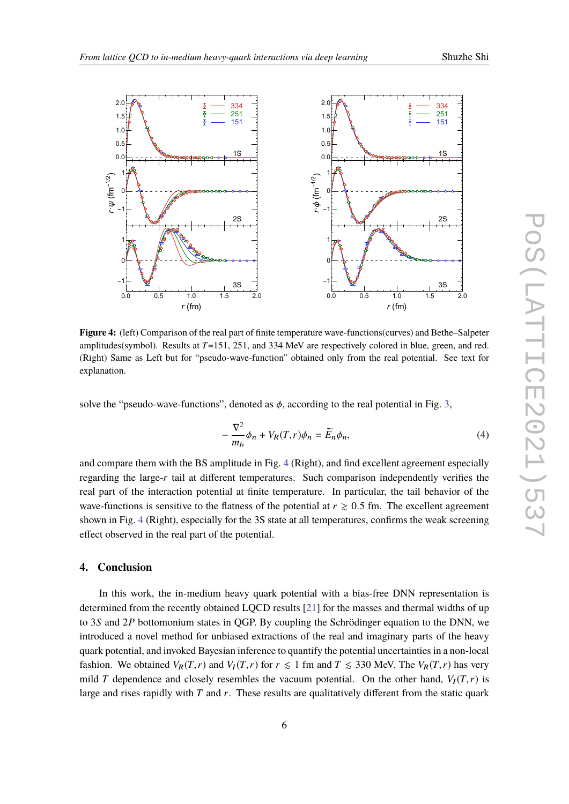<span id="page-5-0"></span>

**Figure 4:** (left) Comparison of the real part of finite temperature wave-functions(curves) and Bethe–Salpeter amplitudes(symbol). Results at *T*=151, 251, and 334 MeV are respectively colored in blue, green, and red. (Right) Same as Left but for "pseudo-wave-function" obtained only from the real potential. See text for explanation.

solve the "pseudo-wave-functions", denoted as  $\phi$ , according to the real potential in Fig. [3](#page-4-0),

$$
-\frac{\nabla^2}{m_b}\phi_n + V_R(T,r)\phi_n = \widetilde{E}_n\phi_n,\tag{4}
$$

and compare them with the BS amplitude in Fig. [4](#page-5-0) (Right), and find excellent agreement especially regarding the large-*r* tail at different temperatures. Such comparison independently verifies the real part of the interaction potential at finite temperature. In particular, the tail behavior of the wave-functions is sensitive to the flatness of the potential at  $r \geq 0.5$  fm. The excellent agreement shown in Fig. [4](#page-5-0) (Right), especially for the 3S state at all temperatures, confirms the weak screening effect observed in the real part of the potential.

### **4. Conclusion**

In this work, the in-medium heavy quark potential with a bias-free DNN representation is determined from the recently obtained LQCD results [[21](#page-7-10)] for the masses and thermal widths of up to 3*S* and 2*P* bottomonium states in QGP. By coupling the Schrödinger equation to the DNN, we introduced a novel method for unbiased extractions of the real and imaginary parts of the heavy quark potential, and invoked Bayesian inference to quantify the potential uncertainties in a non-local fashion. We obtained  $V_R(T,r)$  and  $V_I(T,r)$  for  $r \leq 1$  fm and  $T \leq 330$  MeV. The  $V_R(T,r)$  has very mild *T* dependence and closely resembles the vacuum potential. On the other hand,  $V_I(T, r)$  is large and rises rapidly with *T* and *r*. These results are qualitatively different from the static quark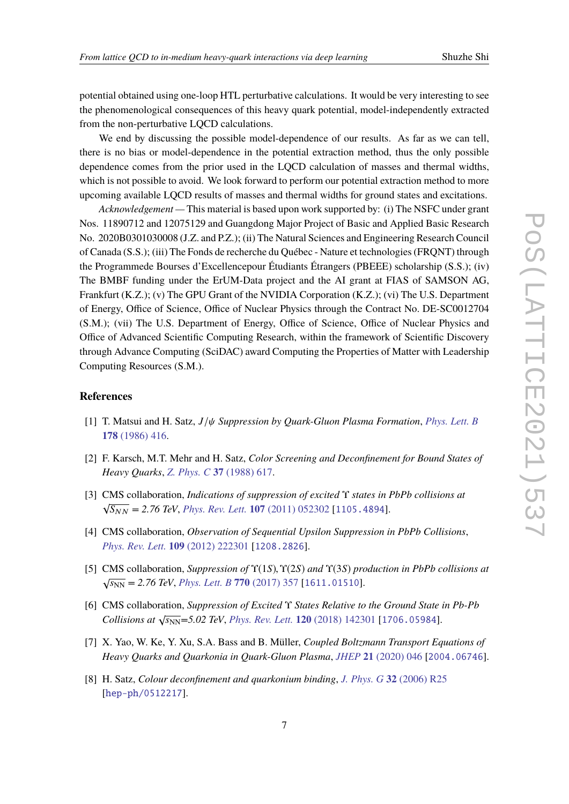potential obtained using one-loop HTL perturbative calculations. It would be very interesting to see the phenomenological consequences of this heavy quark potential, model-independently extracted from the non-perturbative LQCD calculations.

We end by discussing the possible model-dependence of our results. As far as we can tell, there is no bias or model-dependence in the potential extraction method, thus the only possible dependence comes from the prior used in the LQCD calculation of masses and thermal widths, which is not possible to avoid. We look forward to perform our potential extraction method to more upcoming available LQCD results of masses and thermal widths for ground states and excitations.

*Acknowledgement —* This material is based upon work supported by: (i) The NSFC under grant Nos. 11890712 and 12075129 and Guangdong Major Project of Basic and Applied Basic Research No. 2020B0301030008 (J.Z. and P.Z.); (ii) The Natural Sciences and Engineering Research Council of Canada (S.S.); (iii) The Fonds de recherche du Québec - Nature et technologies (FRQNT) through the Programmede Bourses d'Excellencepour Étudiants Étrangers (PBEEE) scholarship (S.S.); (iv) The BMBF funding under the ErUM-Data project and the AI grant at FIAS of SAMSON AG, Frankfurt (K.Z.); (v) The GPU Grant of the NVIDIA Corporation (K.Z.); (vi) The U.S. Department of Energy, Office of Science, Office of Nuclear Physics through the Contract No. DE-SC0012704 (S.M.); (vii) The U.S. Department of Energy, Office of Science, Office of Nuclear Physics and Office of Advanced Scientific Computing Research, within the framework of Scientific Discovery through Advance Computing (SciDAC) award Computing the Properties of Matter with Leadership Computing Resources (S.M.).

#### **References**

- <span id="page-6-0"></span>[1] T. Matsui and H. Satz, *J*/ψ *Suppression by Quark-Gluon Plasma Formation*, *[Phys. Lett. B](https://doi.org/10.1016/0370-2693(86)91404-8)* **178** [\(1986\) 416](https://doi.org/10.1016/0370-2693(86)91404-8).
- <span id="page-6-1"></span>[2] F. Karsch, M.T. Mehr and H. Satz, *Color Screening and Deconfinement for Bound States of Heavy Quarks*, *Z. Phys. C* **37** [\(1988\) 617.](https://doi.org/10.1007/BF01549722)
- <span id="page-6-2"></span>[3] CMS collaboration, *Indications of suppression of excited* Υ *states in PbPb collisions at* √  $\sqrt{S_{NN}}$  = 2.76 TeV, *[Phys. Rev. Lett.](https://doi.org/10.1103/PhysRevLett.107.052302)* **107** (2011) 052302 [[1105.4894](https://arxiv.org/abs/1105.4894)].
- [4] CMS collaboration, *Observation of Sequential Upsilon Suppression in PbPb Collisions*, *[Phys. Rev. Lett.](https://doi.org/10.1103/PhysRevLett.109.222301)* **109** (2012) 222301 [[1208.2826](https://arxiv.org/abs/1208.2826)].
- [5] CMS collaboration, *Suppression of* Υ(1*S*),Υ(2*S*) *and* Υ(3*S*) *production in PbPb collisions at*  $\sqrt{s_{NN}}$  = 2.76 TeV, *[Phys. Lett. B](https://doi.org/10.1016/j.physletb.2017.04.031)* 770 (2017) 357 [[1611.01510](https://arxiv.org/abs/1611.01510)].
- <span id="page-6-3"></span>[6] CMS collaboration, *Suppression of Excited* Υ *States Relative to the Ground State in Pb-Pb Collisions at*  $\sqrt{s_{NN}}$ =5.02 *TeV*, *[Phys. Rev. Lett.](https://doi.org/10.1103/PhysRevLett.120.142301)* **120** (2018) 142301 [[1706.05984](https://arxiv.org/abs/1706.05984)].
- <span id="page-6-4"></span>[7] X. Yao, W. Ke, Y. Xu, S.A. Bass and B. Müller, *Coupled Boltzmann Transport Equations of Heavy Quarks and Quarkonia in Quark-Gluon Plasma*, *JHEP* **21** [\(2020\) 046](https://doi.org/10.1007/JHEP01(2021)046) [[2004.06746](https://arxiv.org/abs/2004.06746)].
- <span id="page-6-5"></span>[8] H. Satz, *Colour deconfinement and quarkonium binding*, *J. Phys. G* **32** [\(2006\) R25](https://doi.org/10.1088/0954-3899/32/3/R01) [[hep-ph/0512217](https://arxiv.org/abs/hep-ph/0512217)].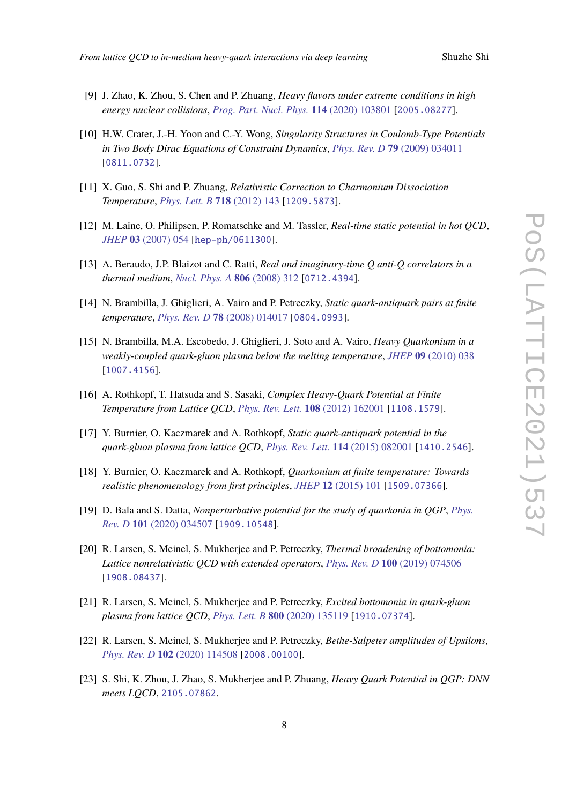- 
- [9] J. Zhao, K. Zhou, S. Chen and P. Zhuang, *Heavy flavors under extreme conditions in high energy nuclear collisions*, *[Prog. Part. Nucl. Phys.](https://doi.org/10.1016/j.ppnp.2020.103801)* **114** (2020) 103801 [[2005.08277](https://arxiv.org/abs/2005.08277)].
- [10] H.W. Crater, J.-H. Yoon and C.-Y. Wong, *Singularity Structures in Coulomb-Type Potentials in Two Body Dirac Equations of Constraint Dynamics*, *Phys. Rev. D* **79** [\(2009\) 034011](https://doi.org/10.1103/PhysRevD.79.034011) [[0811.0732](https://arxiv.org/abs/0811.0732)].
- <span id="page-7-0"></span>[11] X. Guo, S. Shi and P. Zhuang, *Relativistic Correction to Charmonium Dissociation Temperature*, *[Phys. Lett. B](https://doi.org/10.1016/j.physletb.2012.10.032)* **718** (2012) 143 [[1209.5873](https://arxiv.org/abs/1209.5873)].
- <span id="page-7-1"></span>[12] M. Laine, O. Philipsen, P. Romatschke and M. Tassler, *Real-time static potential in hot QCD*, *JHEP* **03** [\(2007\) 054](https://doi.org/10.1088/1126-6708/2007/03/054) [[hep-ph/0611300](https://arxiv.org/abs/hep-ph/0611300)].
- <span id="page-7-2"></span>[13] A. Beraudo, J.P. Blaizot and C. Ratti, *Real and imaginary-time Q anti-Q correlators in a thermal medium*, *[Nucl. Phys. A](https://doi.org/10.1016/j.nuclphysa.2008.03.001)* **806** (2008) 312 [[0712.4394](https://arxiv.org/abs/0712.4394)].
- <span id="page-7-3"></span>[14] N. Brambilla, J. Ghiglieri, A. Vairo and P. Petreczky, *Static quark-antiquark pairs at finite temperature*, *Phys. Rev. D* **78** [\(2008\) 014017](https://doi.org/10.1103/PhysRevD.78.014017) [[0804.0993](https://arxiv.org/abs/0804.0993)].
- <span id="page-7-4"></span>[15] N. Brambilla, M.A. Escobedo, J. Ghiglieri, J. Soto and A. Vairo, *Heavy Quarkonium in a weakly-coupled quark-gluon plasma below the melting temperature*, *JHEP* **09** [\(2010\) 038](https://doi.org/10.1007/JHEP09(2010)038) [[1007.4156](https://arxiv.org/abs/1007.4156)].
- <span id="page-7-5"></span>[16] A. Rothkopf, T. Hatsuda and S. Sasaki, *Complex Heavy-Quark Potential at Finite Temperature from Lattice QCD*, *[Phys. Rev. Lett.](https://doi.org/10.1103/PhysRevLett.108.162001)* **108** (2012) 162001 [[1108.1579](https://arxiv.org/abs/1108.1579)].
- [17] Y. Burnier, O. Kaczmarek and A. Rothkopf, *Static quark-antiquark potential in the quark-gluon plasma from lattice QCD*, *[Phys. Rev. Lett.](https://doi.org/10.1103/PhysRevLett.114.082001)* **114** (2015) 082001 [[1410.2546](https://arxiv.org/abs/1410.2546)].
- [18] Y. Burnier, O. Kaczmarek and A. Rothkopf, *Quarkonium at finite temperature: Towards realistic phenomenology from first principles*, *JHEP* **12** [\(2015\) 101](https://doi.org/10.1007/JHEP12(2015)101) [[1509.07366](https://arxiv.org/abs/1509.07366)].
- <span id="page-7-6"></span>[19] D. Bala and S. Datta, *Nonperturbative potential for the study of quarkonia in QGP*, *[Phys.](https://doi.org/10.1103/PhysRevD.101.034507) Rev. D* **101** [\(2020\) 034507](https://doi.org/10.1103/PhysRevD.101.034507) [[1909.10548](https://arxiv.org/abs/1909.10548)].
- <span id="page-7-7"></span>[20] R. Larsen, S. Meinel, S. Mukherjee and P. Petreczky, *Thermal broadening of bottomonia: Lattice nonrelativistic QCD with extended operators*, *Phys. Rev. D* **100** [\(2019\) 074506](https://doi.org/10.1103/PhysRevD.100.074506) [[1908.08437](https://arxiv.org/abs/1908.08437)].
- <span id="page-7-10"></span>[21] R. Larsen, S. Meinel, S. Mukherjee and P. Petreczky, *Excited bottomonia in quark-gluon plasma from lattice QCD*, *Phys. Lett. B* **800** [\(2020\) 135119](https://doi.org/10.1016/j.physletb.2019.135119) [[1910.07374](https://arxiv.org/abs/1910.07374)].
- <span id="page-7-8"></span>[22] R. Larsen, S. Meinel, S. Mukherjee and P. Petreczky, *Bethe-Salpeter amplitudes of Upsilons*, *Phys. Rev. D* **102** [\(2020\) 114508](https://doi.org/10.1103/PhysRevD.102.114508) [[2008.00100](https://arxiv.org/abs/2008.00100)].
- <span id="page-7-9"></span>[23] S. Shi, K. Zhou, J. Zhao, S. Mukherjee and P. Zhuang, *Heavy Quark Potential in QGP: DNN meets LQCD*, [2105.07862](https://arxiv.org/abs/2105.07862).